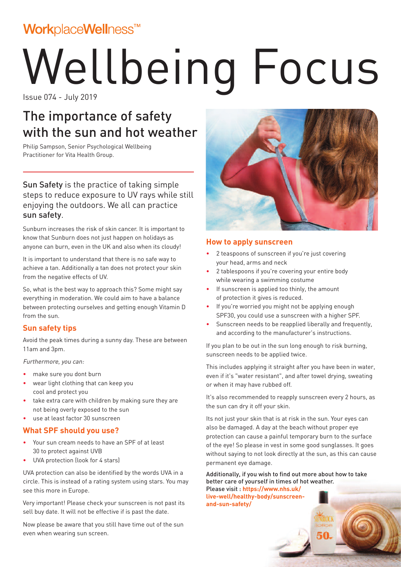### WorkplaceWellness™

# Wellbeing Focus

Issue 074 - July 2019

### The importance of safety with the sun and hot weather

Philip Sampson, Senior Psychological Wellbeing Practitioner for Vita Health Group.

Sun Safety is the practice of taking simple steps to reduce exposure to UV rays while still enjoying the outdoors. We all can practice sun safety.

Sunburn increases the risk of skin cancer. It is important to know that Sunburn does not just happen on holidays as anyone can burn, even in the UK and also when its cloudy!

It is important to understand that there is no safe way to achieve a tan. Additionally a tan does not protect your skin from the negative effects of UV.

So, what is the best way to approach this? Some might say everything in moderation. We could aim to have a balance between protecting ourselves and getting enough Vitamin D from the sun.

### **Sun safety tips**

Avoid the peak times during a sunny day. These are between 11am and 3pm.

Furthermore, you can:

- make sure you dont burn
- wear light clothing that can keep you cool and protect you
- take extra care with children by making sure they are not being overly exposed to the sun
- use at least factor 30 sunscreen

### **What SPF should you use?**

- Your sun cream needs to have an SPF of at least 30 to protect against UVB
- UVA protection (look for 4 stars)

UVA protection can also be identified by the words UVA in a circle. This is instead of a rating system using stars. You may see this more in Europe.

Very important! Please check your sunscreen is not past its sell buy date. It will not be effective if is past the date.

Now please be aware that you still have time out of the sun even when wearing sun screen.



#### **How to apply sunscreen**

- 2 teaspoons of sunscreen if you're just covering your head, arms and neck
- 2 tablespoons if you're covering your entire body while wearing a swimming costume
- If sunscreen is applied too thinly, the amount of protection it gives is reduced.
- If you're worried you might not be applying enough SPF30, you could use a sunscreen with a higher SPF.
- Sunscreen needs to be reapplied liberally and frequently, and according to the manufacturer's instructions.

If you plan to be out in the sun long enough to risk burning, sunscreen needs to be applied twice.

This includes applying it straight after you have been in water, even if it's "water resistant", and after towel drying, sweating or when it may have rubbed off.

It's also recommended to reapply sunscreen every 2 hours, as the sun can dry it off your skin.

Its not just your skin that is at risk in the sun. Your eyes can also be damaged. A day at the beach without proper eye protection can cause a painful temporary burn to the surface of the eye! So please in vest in some good sunglasses. It goes without saying to not look directly at the sun, as this can cause permanent eye damage.

Additionally, if you wish to find out more about how to take better care of yourself in times of hot weather. Please visit : **https://www.nhs.uk/**

**live-well/healthy-body/sunscreenand-sun-safety/**